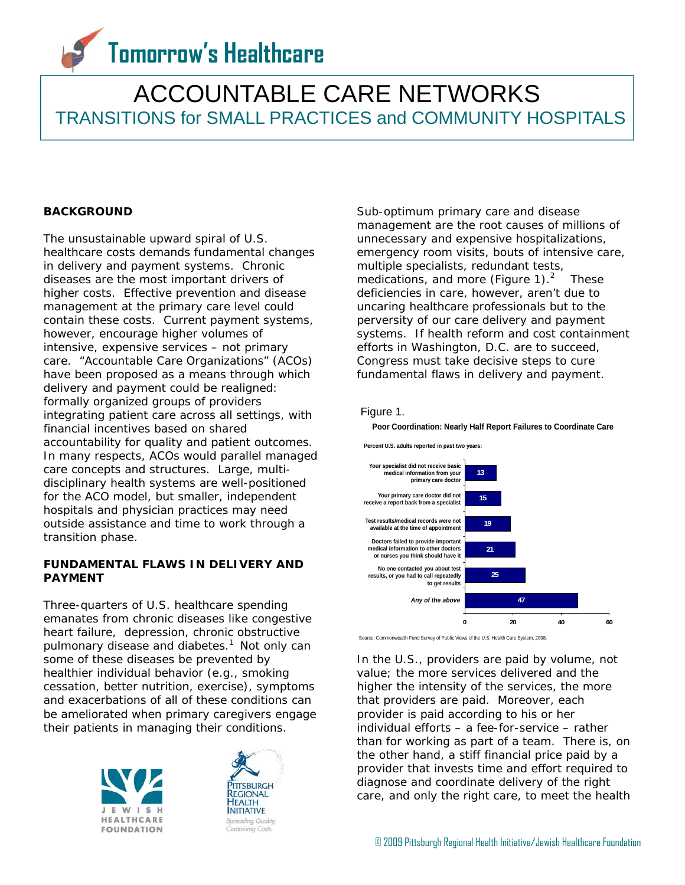# **Tomorrow's Healthcare**

# ACCOUNTABLE CARE NETWORKS TRANSITIONS for SMALL PRACTICES and COMMUNITY HOSPITALS

# **BACKGROUND**

The unsustainable upward spiral of U.S. healthcare costs demands fundamental changes in delivery and payment systems. Chronic diseases are the most important drivers of higher costs. Effective prevention and disease management at the primary care level could contain these costs. Current payment systems, however, encourage higher volumes of intensive, expensive services – not primary care. "Accountable Care Organizations" (ACOs) have been proposed as a means through which delivery and payment could be realigned: formally organized groups of providers integrating patient care across all settings, with financial incentives based on shared accountability for quality and patient outcomes. In many respects, ACOs would parallel managed care concepts and structures. Large, multidisciplinary health systems are well-positioned for the ACO model, but smaller, independent hospitals and physician practices may need outside assistance and time to work through a transition phase.

## **FUNDAMENTAL FLAWS IN DELIVERY AND PAYMENT**

Three-quarters of U.S. healthcare spending emanates from chronic diseases like congestive heart failure, depression, chronic obstructive pulmonary disease and diabetes.<sup>1</sup> Not only can some of these diseases be prevented by healthier individual behavior (e.g., smoking cessation, better nutrition, exercise), symptoms and exacerbations of all of these conditions can be ameliorated when primary caregivers engage their patients in managing their conditions.





Sub-optimum primary care and disease management are the root causes of millions of unnecessary and expensive hospitalizations, emergency room visits, bouts of intensive care, multiple specialists, redundant tests, medications, and more (Figure 1). $<sup>2</sup>$ </sup> These deficiencies in care, however, aren't due to uncaring healthcare professionals but to the perversity of our care delivery and payment systems. If health reform and cost containment efforts in Washington, D.C. are to succeed, Congress must take decisive steps to cure fundamental flaws in delivery and payment.

#### Figure 1.





Source: Commonwealth Fund Survey of Public Views of the U.S. Health Care System, 2008.

In the U.S., providers are paid by volume, not value; the more services delivered and the higher the intensity of the services, the more that providers are paid. Moreover, each provider is paid according to his or her individual efforts – a fee-for-service – rather than for working as part of a team. There is, on the other hand, a stiff financial price paid by a provider that invests time and effort required to diagnose and coordinate delivery of the right care, and only the right care, to meet the health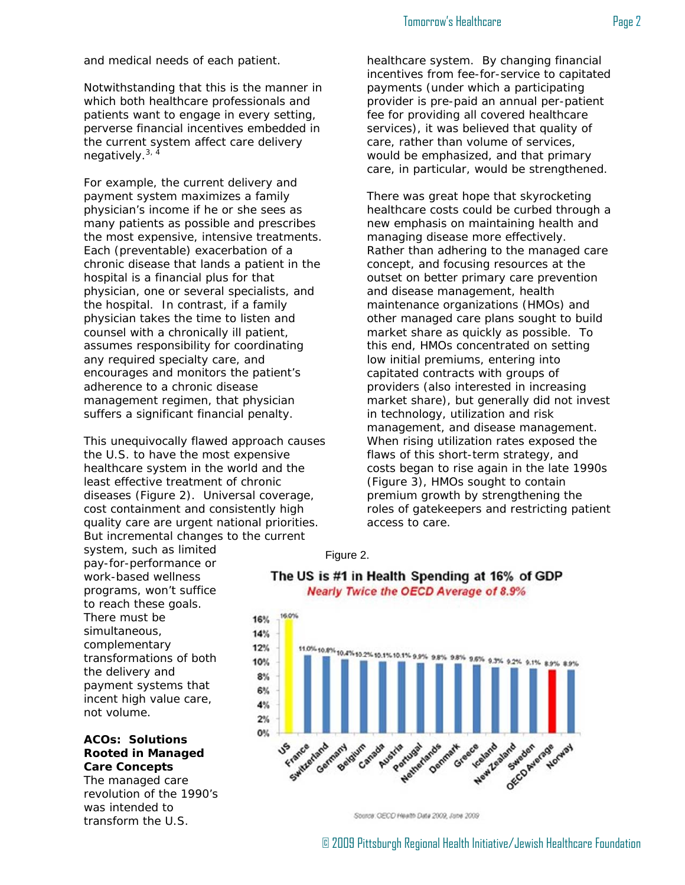#### Tomorrow's Healthcare **Page 2**

and medical needs of each patient.

Notwithstanding that this is the manner in which both healthcare professionals and patients want to engage in every setting, perverse financial incentives embedded in the current system affect care delivery negatively. $3, \frac{3}{4}$ 

For example, the current delivery and payment system maximizes a family physician's income if he or she sees as many patients as possible and prescribes the most expensive, intensive treatments. Each (preventable) exacerbation of a chronic disease that lands a patient in the hospital is a financial plus for that physician, one or several specialists, and the hospital. In contrast, if a family physician takes the time to listen and counsel with a chronically ill patient, assumes responsibility for coordinating any required specialty care, and encourages and monitors the patient's adherence to a chronic disease management regimen, that physician suffers a significant financial penalty.

This unequivocally flawed approach causes the U.S. to have the most expensive healthcare system in the world and the least effective treatment of chronic diseases (Figure 2). Universal coverage, cost containment and consistently high quality care are urgent national priorities. But incremental changes to the current

system, such as limited pay-for-performance or work-based wellness programs, won't suffice to reach these goals. There must be simultaneous, complementary transformations of both the delivery and payment systems that incent high value care, not volume.

## **ACOs: Solutions Rooted in Managed Care Concepts**

The managed care revolution of the 1990's was intended to transform the U.S.

healthcare system. By changing financial incentives from fee-for-service to capitated payments (under which a participating provider is pre-paid an annual per-patient fee for providing all covered healthcare services), it was believed that quality of care, rather than volume of services, would be emphasized, and that primary care, in particular, would be strengthened.

There was great hope that skyrocketing healthcare costs could be curbed through a new emphasis on maintaining health and managing disease more effectively. Rather than adhering to the managed care concept, and focusing resources at the outset on better primary care prevention and disease management, health maintenance organizations (HMOs) and other managed care plans sought to build market share as quickly as possible. To this end, HMOs concentrated on setting low initial premiums, entering into capitated contracts with groups of providers (also interested in increasing market share), but generally did not invest in technology, utilization and risk management, and disease management. When rising utilization rates exposed the flaws of this short-term strategy, and costs began to rise again in the late 1990s (Figure 3), HMOs sought to contain premium growth by strengthening the roles of gatekeepers and restricting patient access to care.

#### Figure 2.





Source: OECD Health Date 2009, June 2009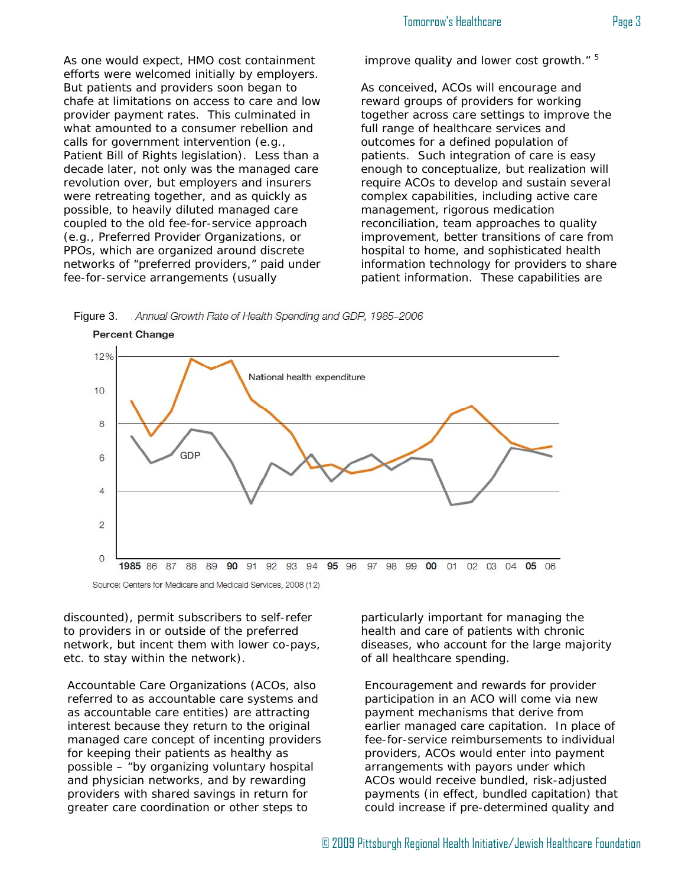As one would expect, HMO cost containment efforts were welcomed initially by employers. But patients and providers soon began to chafe at limitations on access to care and low provider payment rates. This culminated in what amounted to a consumer rebellion and calls for government intervention (e.g., Patient Bill of Rights legislation). Less than a decade later, not only was the managed care revolution over, but employers and insurers were retreating together, and as quickly as possible, to heavily diluted managed care coupled to the old fee-for-service approach (e.g., Preferred Provider Organizations, or PPOs, which are organized around discrete networks of "preferred providers," paid under fee-for-service arrangements (usually

improve quality and lower cost growth." <sup>5</sup>

As conceived, ACOs will encourage and reward groups of providers for working together across care settings to improve the full range of healthcare services and outcomes for a defined population of patients. Such integration of care is easy enough to conceptualize, but realization will require ACOs to develop and sustain several complex capabilities, including active care management, rigorous medication reconciliation, team approaches to quality improvement, better transitions of care from hospital to home, and sophisticated health information technology for providers to share patient information. These capabilities are

. Annual Growth Rate of Health Spending and GDP, 1985-2006 Figure 3.



discounted), permit subscribers to self-refer to providers in or outside of the preferred network, but incent them with lower co-pays, etc. to stay within the network).

Accountable Care Organizations (ACOs, also referred to as accountable care systems and as accountable care entities) are attracting interest because they return to the original managed care concept of incenting providers for keeping their patients as healthy as possible – "by organizing voluntary hospital and physician networks, and by rewarding providers with shared savings in return for greater care coordination or other steps to

particularly important for managing the health and care of patients with chronic diseases, who account for the large majority of all healthcare spending.

Encouragement and rewards for provider participation in an ACO will come via new payment mechanisms that derive from earlier managed care capitation. In place of fee-for-service reimbursements to individual providers, ACOs would enter into payment arrangements with payors under which ACOs would receive bundled, risk-adjusted payments (in effect, bundled capitation) that could increase if pre-determined quality and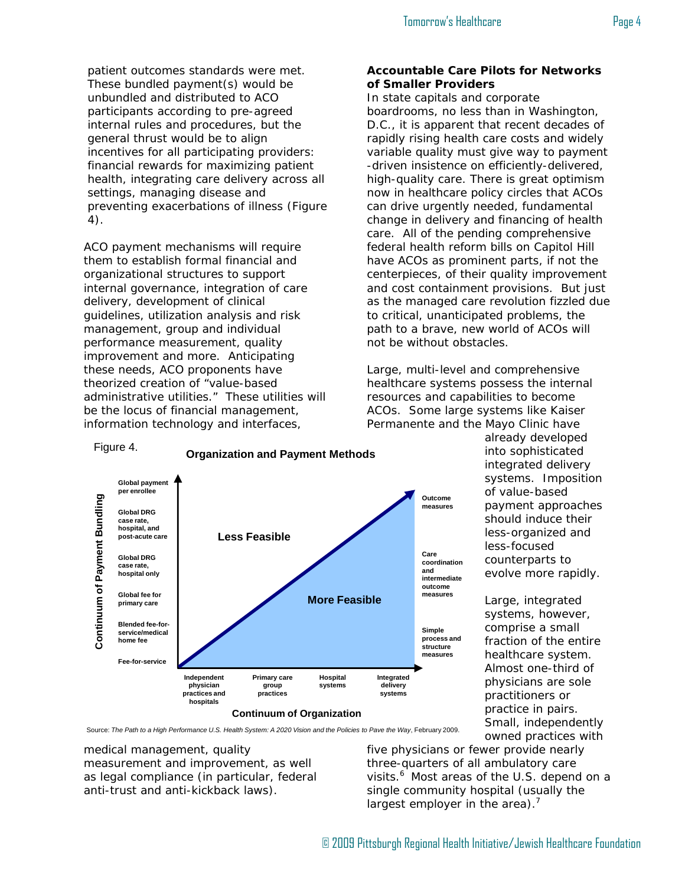patient outcomes standards were met. These bundled payment(s) would be unbundled and distributed to ACO participants according to pre-agreed internal rules and procedures, but the general thrust would be to align incentives for all participating providers: financial rewards for maximizing patient health, integrating care delivery across all settings, managing disease and preventing exacerbations of illness (Figure 4).

ACO payment mechanisms will require them to establish formal financial and organizational structures to support internal governance, integration of care delivery, development of clinical guidelines, utilization analysis and risk management, group and individual performance measurement, quality improvement and more. Anticipating these needs, ACO proponents have theorized creation of "value-based administrative utilities." These utilities will be the locus of financial management, information technology and interfaces,

# **Accountable Care Pilots for Networks of Smaller Providers**

In state capitals and corporate boardrooms, no less than in Washington, D.C., it is apparent that recent decades of rapidly rising health care costs and widely variable quality must give way to payment -driven insistence on efficiently-delivered, high-quality care. There is great optimism now in healthcare policy circles that ACOs can drive urgently needed, fundamental change in delivery and financing of health care. All of the pending comprehensive federal health reform bills on Capitol Hill have ACOs as prominent parts, if not the centerpieces, of their quality improvement and cost containment provisions. But just as the managed care revolution fizzled due to critical, unanticipated problems, the path to a brave, new world of ACOs will not be without obstacles.

Large, multi-level and comprehensive healthcare systems possess the internal resources and capabilities to become ACOs. Some large systems like Kaiser Permanente and the Mayo Clinic have

> already developed into sophisticated integrated delivery systems. Imposition of value-based payment approaches should induce their less-organized and less-focused counterparts to evolve more rapidly.

Large, integrated systems, however, comprise a small fraction of the entire healthcare system. Almost one-third of physicians are sole practitioners or practice in pairs. Small, independently owned practices with



**Primary care group practices**

**Continuum of Organization**

**Hospital systems** **Integrated delivery systems**

**process and structure measures**

medical management, quality measurement and improvement, as well as legal compliance (in particular, federal anti-trust and anti-kickback laws).

**Independent physician practices and hospitals**

**home fee**

Figure 4.

**Fee-for-service**

five physicians or fewer provide nearly three-quarters of all ambulatory care visits.<sup>6</sup> Most areas of the U.S. depend on a single community hospital (usually the largest employer in the area).<sup>7</sup>



**Organization and Payment Methods**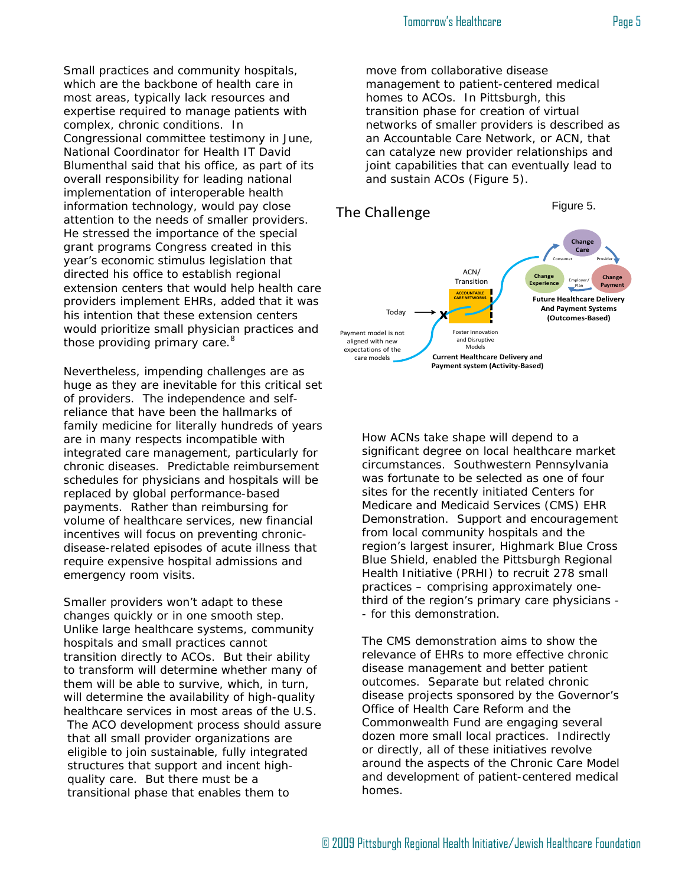Small practices and community hospitals, which are the backbone of health care in most areas, typically lack resources and expertise required to manage patients with complex, chronic conditions. In Congressional committee testimony in June, National Coordinator for Health IT David Blumenthal said that his office, as part of its overall responsibility for leading national implementation of interoperable health information technology, would pay close attention to the needs of smaller providers. He stressed the importance of the special grant programs Congress created in this year's economic stimulus legislation that directed his office to establish regional extension centers that would help health care providers implement EHRs, added that it was his intention that these extension centers would prioritize small physician practices and those providing primary care.<sup>8</sup>

Nevertheless, impending challenges are as huge as they are inevitable for this critical set of providers. The independence and selfreliance that have been the hallmarks of family medicine for literally hundreds of years are in many respects incompatible with integrated care management, particularly for chronic diseases. Predictable reimbursement schedules for physicians and hospitals will be replaced by global performance-based payments. Rather than reimbursing for volume of healthcare services, new financial incentives will focus on preventing chronicdisease-related episodes of acute illness that require expensive hospital admissions and emergency room visits.

Smaller providers won't adapt to these changes quickly or in one smooth step. Unlike large healthcare systems, community hospitals and small practices cannot transition directly to ACOs. But their ability to transform will determine whether many of them will be able to survive, which, in turn, will determine the availability of high-quality healthcare services in most areas of the U.S. The ACO development process should assure that all small provider organizations are eligible to join sustainable, fully integrated structures that support and incent highquality care. But there must be a transitional phase that enables them to

move from collaborative disease management to patient-centered medical homes to ACOs. In Pittsburgh, this transition phase for creation of virtual networks of smaller providers is described as an Accountable Care Network, or ACN, that can catalyze new provider relationships and joint capabilities that can eventually lead to and sustain ACOs (Figure 5).



How ACNs take shape will depend to a significant degree on local healthcare market circumstances. Southwestern Pennsylvania was fortunate to be selected as one of four sites for the recently initiated Centers for Medicare and Medicaid Services (CMS) EHR Demonstration. Support and encouragement from local community hospitals and the region's largest insurer, Highmark Blue Cross Blue Shield, enabled the Pittsburgh Regional Health Initiative (PRHI) to recruit 278 small practices – comprising approximately onethird of the region's primary care physicians - - for this demonstration.

The CMS demonstration aims to show the relevance of EHRs to more effective chronic disease management and better patient outcomes. Separate but related chronic disease projects sponsored by the Governor's Office of Health Care Reform and the Commonwealth Fund are engaging several dozen more small local practices. Indirectly or directly, all of these initiatives revolve around the aspects of the Chronic Care Model and development of patient-centered medical homes.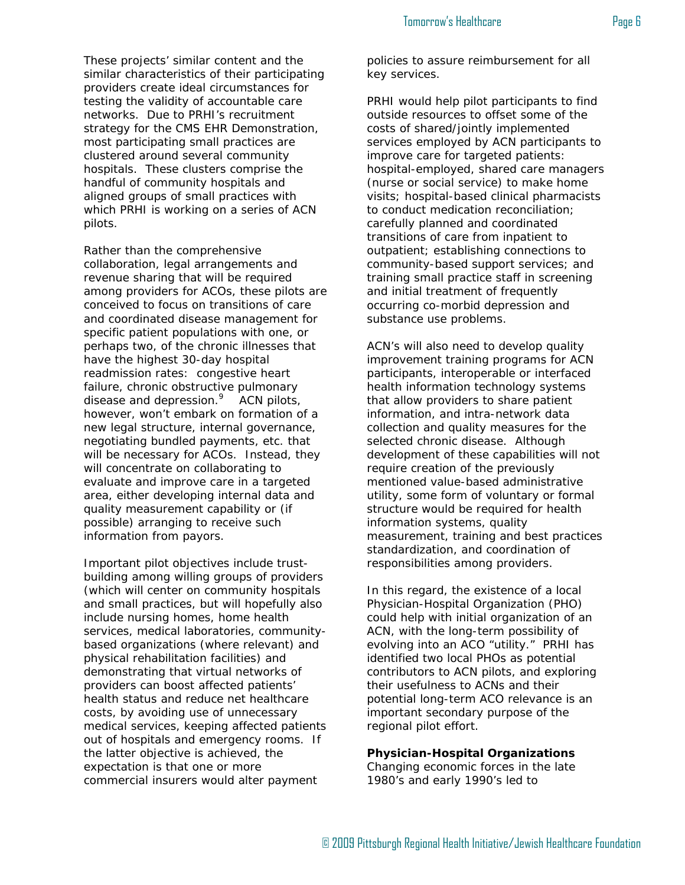These projects' similar content and the similar characteristics of their participating providers create ideal circumstances for testing the validity of accountable care networks. Due to PRHI's recruitment strategy for the CMS EHR Demonstration, most participating small practices are clustered around several community hospitals. These clusters comprise the handful of community hospitals and aligned groups of small practices with which PRHI is working on a series of ACN pilots.

Rather than the comprehensive collaboration, legal arrangements and revenue sharing that will be required among providers for ACOs, these pilots are conceived to focus on transitions of care and coordinated disease management for specific patient populations with one, or perhaps two, of the chronic illnesses that have the highest 30-day hospital readmission rates: congestive heart failure, chronic obstructive pulmonary disease and depression.<sup>9</sup> ACN pilots, however, won't embark on formation of a new legal structure, internal governance, negotiating bundled payments, etc. that will be necessary for ACOs. Instead, they will concentrate on collaborating to evaluate and improve care in a targeted area, either developing internal data and quality measurement capability or (if possible) arranging to receive such information from payors.

Important pilot objectives include trustbuilding among willing groups of providers (which will center on community hospitals and small practices, but will hopefully also include nursing homes, home health services, medical laboratories, communitybased organizations (where relevant) and physical rehabilitation facilities) and demonstrating that virtual networks of providers can boost affected patients' health status and reduce net healthcare costs, by avoiding use of unnecessary medical services, keeping affected patients out of hospitals and emergency rooms. If the latter objective is achieved, the expectation is that one or more commercial insurers would alter payment

policies to assure reimbursement for all key services.

PRHI would help pilot participants to find outside resources to offset some of the costs of shared/jointly implemented services employed by ACN participants to improve care for targeted patients: hospital-employed, shared care managers (nurse or social service) to make home visits; hospital-based clinical pharmacists to conduct medication reconciliation; carefully planned and coordinated transitions of care from inpatient to outpatient; establishing connections to community-based support services; and training small practice staff in screening and initial treatment of frequently occurring co-morbid depression and substance use problems.

ACN's will also need to develop quality improvement training programs for ACN participants, interoperable or interfaced health information technology systems that allow providers to share patient information, and intra-network data collection and quality measures for the selected chronic disease. Although development of these capabilities will not require creation of the previously mentioned value-based administrative utility, some form of voluntary or formal structure would be required for health information systems, quality measurement, training and best practices standardization, and coordination of responsibilities among providers.

In this regard, the existence of a local Physician-Hospital Organization (PHO) could help with initial organization of an ACN, with the long-term possibility of evolving into an ACO "utility." PRHI has identified two local PHOs as potential contributors to ACN pilots, and exploring their usefulness to ACNs and their potential long-term ACO relevance is an important secondary purpose of the regional pilot effort.

#### **Physician-Hospital Organizations**

Changing economic forces in the late 1980's and early 1990's led to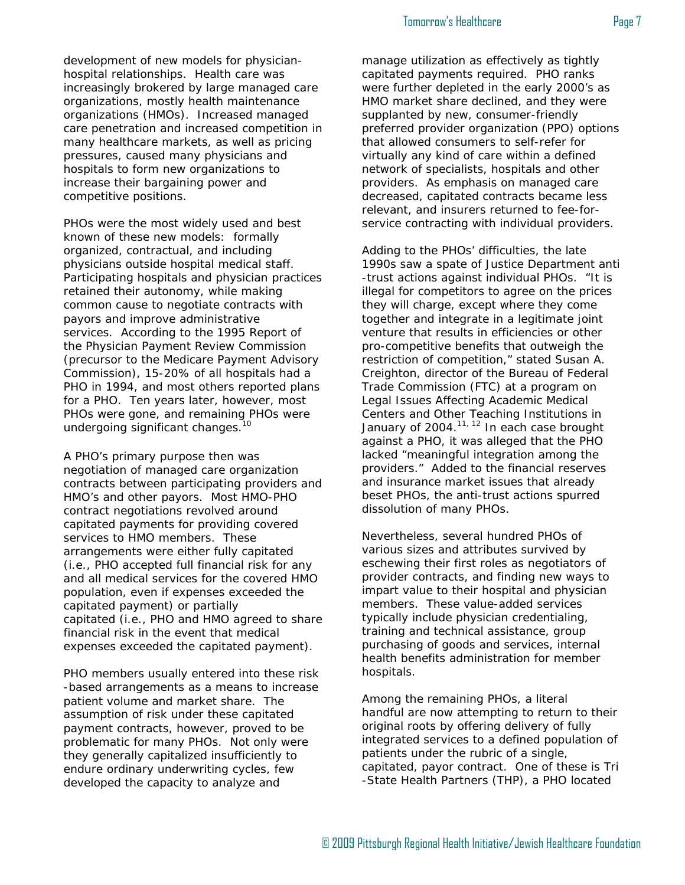development of new models for physicianhospital relationships. Health care was increasingly brokered by large managed care organizations, mostly health maintenance organizations (HMOs). Increased managed care penetration and increased competition in many healthcare markets, as well as pricing pressures, caused many physicians and hospitals to form new organizations to

PHOs were the most widely used and best known of these new models: formally organized, contractual, and including physicians outside hospital medical staff. Participating hospitals and physician practices retained their autonomy, while making common cause to negotiate contracts with payors and improve administrative services. According to the 1995 Report of the Physician Payment Review Commission (precursor to the Medicare Payment Advisory Commission), 15-20% of all hospitals had a PHO in 1994, and most others reported plans for a PHO. Ten years later, however, most PHOs were gone, and remaining PHOs were undergoing significant changes.<sup>10</sup>

increase their bargaining power and

competitive positions.

A PHO's primary purpose then was negotiation of managed care organization contracts between participating providers and HMO's and other payors. Most HMO-PHO contract negotiations revolved around capitated payments for providing covered services to HMO members. These arrangements were either fully capitated (i.e., PHO accepted full financial risk for any and all medical services for the covered HMO population, even if expenses exceeded the capitated payment) or partially capitated (i.e., PHO and HMO agreed to share financial risk in the event that medical expenses exceeded the capitated payment).

PHO members usually entered into these risk -based arrangements as a means to increase patient volume and market share. The assumption of risk under these capitated payment contracts, however, proved to be problematic for many PHOs. Not only were they generally capitalized insufficiently to endure ordinary underwriting cycles, few developed the capacity to analyze and

manage utilization as effectively as tightly capitated payments required. PHO ranks were further depleted in the early 2000's as HMO market share declined, and they were supplanted by new, consumer-friendly preferred provider organization (PPO) options that allowed consumers to self-refer for virtually any kind of care within a defined network of specialists, hospitals and other providers. As emphasis on managed care decreased, capitated contracts became less relevant, and insurers returned to fee-forservice contracting with individual providers.

Adding to the PHOs' difficulties, the late 1990s saw a spate of Justice Department anti -trust actions against individual PHOs. "It is illegal for competitors to agree on the prices they will charge, except where they come together and integrate in a legitimate joint venture that results in efficiencies or other pro-competitive benefits that outweigh the restriction of competition," stated Susan A. Creighton, director of the Bureau of Federal Trade Commission (FTC) at a program on Legal Issues Affecting Academic Medical Centers and Other Teaching Institutions in January of  $2004$ .<sup>11, 12</sup> In each case brought against a PHO, it was alleged that the PHO lacked "meaningful integration among the providers." Added to the financial reserves and insurance market issues that already beset PHOs, the anti-trust actions spurred dissolution of many PHOs.

Nevertheless, several hundred PHOs of various sizes and attributes survived by eschewing their first roles as negotiators of provider contracts, and finding new ways to impart value to their hospital and physician members. These value-added services typically include physician credentialing, training and technical assistance, group purchasing of goods and services, internal health benefits administration for member hospitals.

Among the remaining PHOs, a literal handful are now attempting to return to their original roots by offering delivery of fully integrated services to a defined population of patients under the rubric of a single, capitated, payor contract. One of these is Tri -State Health Partners (THP), a PHO located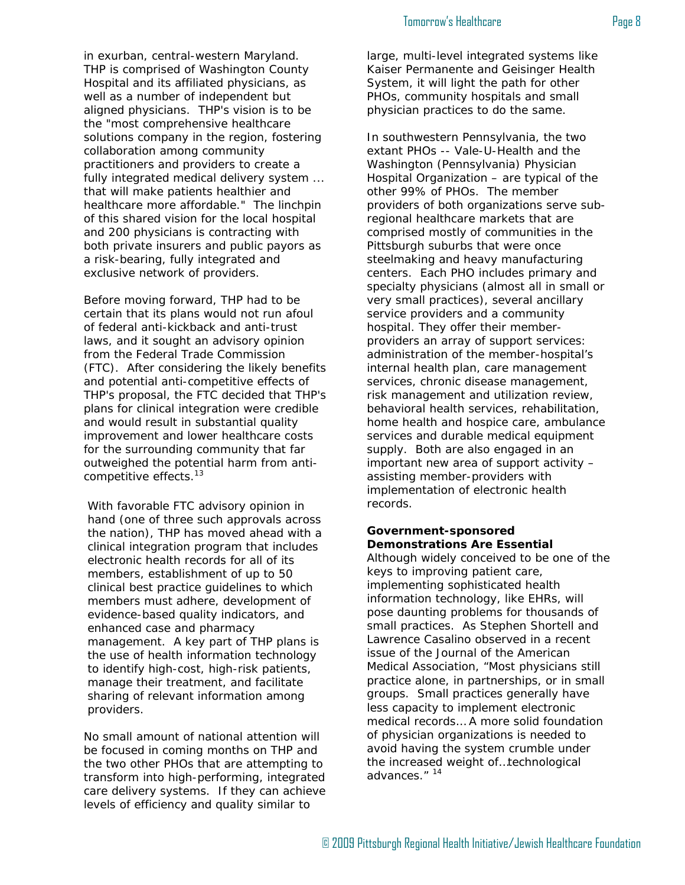#### Tomorrow's Healthcare **Page 8**

in exurban, central-western Maryland. THP is comprised of Washington County Hospital and its affiliated physicians, as well as a number of independent but aligned physicians. THP's vision is to be the "most comprehensive healthcare solutions company in the region, fostering collaboration among community practitioners and providers to create a fully integrated medical delivery system ... that will make patients healthier and healthcare more affordable." The linchpin of this shared vision for the local hospital and 200 physicians is contracting with both private insurers and public payors as a risk-bearing, fully integrated and exclusive network of providers.

Before moving forward, THP had to be certain that its plans would not run afoul of federal anti-kickback and anti-trust laws, and it sought an advisory opinion from the Federal Trade Commission (FTC). After considering the likely benefits and potential anti-competitive effects of THP's proposal, the FTC decided that THP's plans for clinical integration were credible and would result in substantial quality improvement and lower healthcare costs for the surrounding community that far outweighed the potential harm from anticompetitive effects.13

With favorable FTC advisory opinion in hand (one of three such approvals across the nation), THP has moved ahead with a clinical integration program that includes electronic health records for all of its members, establishment of up to 50 clinical best practice guidelines to which members must adhere, development of evidence-based quality indicators, and enhanced case and pharmacy management. A key part of THP plans is the use of health information technology to identify high-cost, high-risk patients, manage their treatment, and facilitate sharing of relevant information among providers.

No small amount of national attention will be focused in coming months on THP and the two other PHOs that are attempting to transform into high-performing, integrated care delivery systems. If they can achieve levels of efficiency and quality similar to

large, multi-level integrated systems like Kaiser Permanente and Geisinger Health System, it will light the path for other PHOs, community hospitals and small physician practices to do the same.

In southwestern Pennsylvania, the two extant PHOs -- Vale-U-Health and the Washington (Pennsylvania) Physician Hospital Organization – are typical of the other 99% of PHOs. The member providers of both organizations serve subregional healthcare markets that are comprised mostly of communities in the Pittsburgh suburbs that were once steelmaking and heavy manufacturing centers. Each PHO includes primary and specialty physicians (almost all in small or very small practices), several ancillary service providers and a community hospital. They offer their memberproviders an array of support services: administration of the member-hospital's internal health plan, care management services, chronic disease management, risk management and utilization review, behavioral health services, rehabilitation, home health and hospice care, ambulance services and durable medical equipment supply. Both are also engaged in an important new area of support activity – assisting member-providers with implementation of electronic health records.

#### **Government-sponsored Demonstrations Are Essential**

Although widely conceived to be one of the keys to improving patient care, implementing sophisticated health information technology, like EHRs, will pose daunting problems for thousands of small practices. As Stephen Shortell and Lawrence Casalino observed in a recent issue of the Journal of the American Medical Association, "Most physicians still practice alone, in partnerships, or in small groups. Small practices generally have less capacity to implement electronic medical records… A more solid foundation of physician organizations is needed to avoid having the system crumble under the increased weight of…technological advances." <sup>14</sup>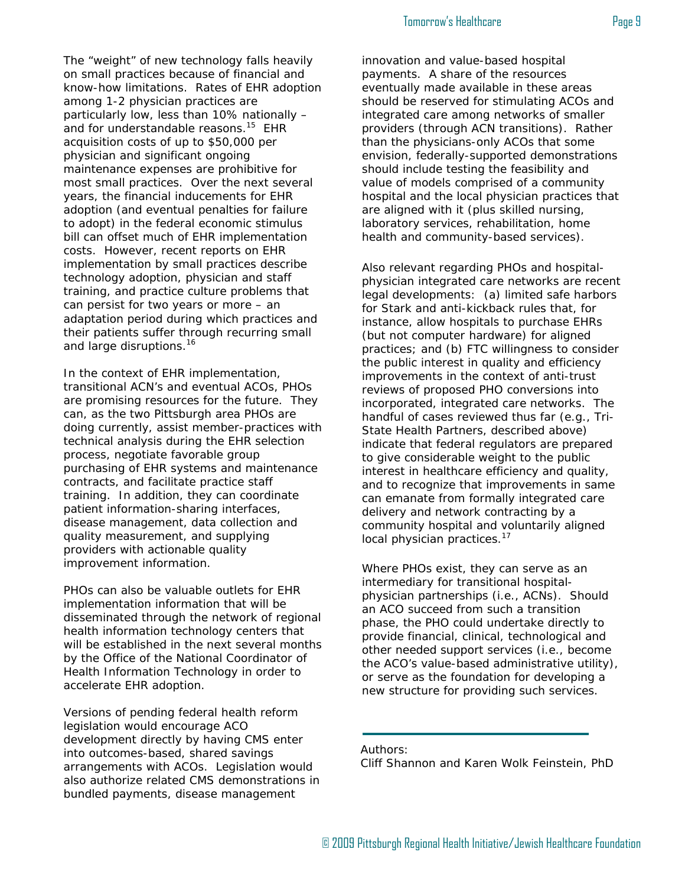#### Tomorrow's Healthcare **Page 9**

The "weight" of new technology falls heavily on small practices because of financial and know-how limitations. Rates of EHR adoption among 1-2 physician practices are particularly low, less than 10% nationally – and for understandable reasons.<sup>15</sup> EHR acquisition costs of up to \$50,000 per physician and significant ongoing maintenance expenses are prohibitive for most small practices. Over the next several years, the financial inducements for EHR adoption (and eventual penalties for failure to adopt) in the federal economic stimulus bill can offset much of EHR implementation costs. However, recent reports on EHR implementation by small practices describe technology adoption, physician and staff training, and practice culture problems that can persist for two years or more – an adaptation period during which practices and their patients suffer through recurring small and large disruptions.<sup>16</sup>

In the context of EHR implementation, transitional ACN's and eventual ACOs, PHOs are promising resources for the future. They can, as the two Pittsburgh area PHOs are doing currently, assist member-practices with technical analysis during the EHR selection process, negotiate favorable group purchasing of EHR systems and maintenance contracts, and facilitate practice staff training. In addition, they can coordinate patient information-sharing interfaces, disease management, data collection and quality measurement, and supplying providers with actionable quality improvement information.

PHOs can also be valuable outlets for EHR implementation information that will be disseminated through the network of regional health information technology centers that will be established in the next several months by the Office of the National Coordinator of Health Information Technology in order to accelerate EHR adoption.

Versions of pending federal health reform legislation would encourage ACO development directly by having CMS enter into outcomes-based, shared savings arrangements with ACOs. Legislation would also authorize related CMS demonstrations in bundled payments, disease management

innovation and value-based hospital payments. A share of the resources eventually made available in these areas should be reserved for stimulating ACOs and integrated care among networks of smaller providers (through ACN transitions). Rather than the physicians-only ACOs that some envision, federally-supported demonstrations should include testing the feasibility and value of models comprised of a community hospital and the local physician practices that are aligned with it (plus skilled nursing, laboratory services, rehabilitation, home health and community-based services).

Also relevant regarding PHOs and hospitalphysician integrated care networks are recent legal developments: (a) limited safe harbors for Stark and anti-kickback rules that, for instance, allow hospitals to purchase EHRs (but not computer hardware) for aligned practices; and (b) FTC willingness to consider the public interest in quality and efficiency improvements in the context of anti-trust reviews of proposed PHO conversions into incorporated, integrated care networks. The handful of cases reviewed thus far (e.g., Tri-State Health Partners, described above) indicate that federal regulators are prepared to give considerable weight to the public interest in healthcare efficiency and quality, and to recognize that improvements in same can emanate from formally integrated care delivery and network contracting by a community hospital and voluntarily aligned local physician practices.<sup>17</sup>

Where PHOs exist, they can serve as an intermediary for transitional hospitalphysician partnerships (i.e., ACNs). Should an ACO succeed from such a transition phase, the PHO could undertake directly to provide financial, clinical, technological and other needed support services (i.e., become the ACO's value-based administrative utility), or serve as the foundation for developing a new structure for providing such services.

Authors:

Cliff Shannon and Karen Wolk Feinstein, PhD